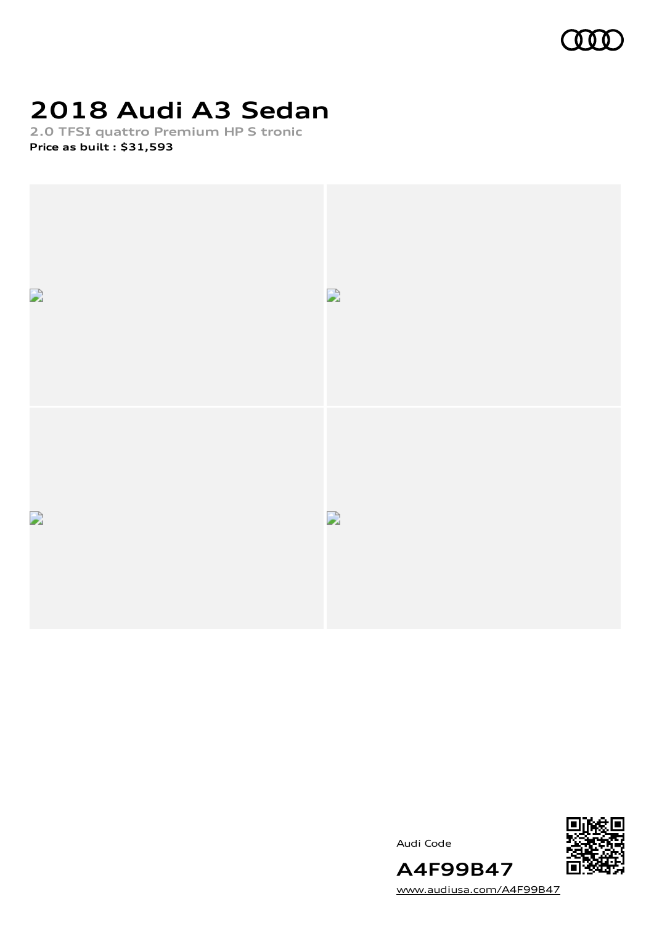

# **2018 Audi A3 Sedan**

**2.0 TFSI quattro Premium HP S tronic Price as built [:](#page-10-0) \$31,593**



Audi Code



[www.audiusa.com/A4F99B47](https://www.audiusa.com/A4F99B47)

**A4F99B47**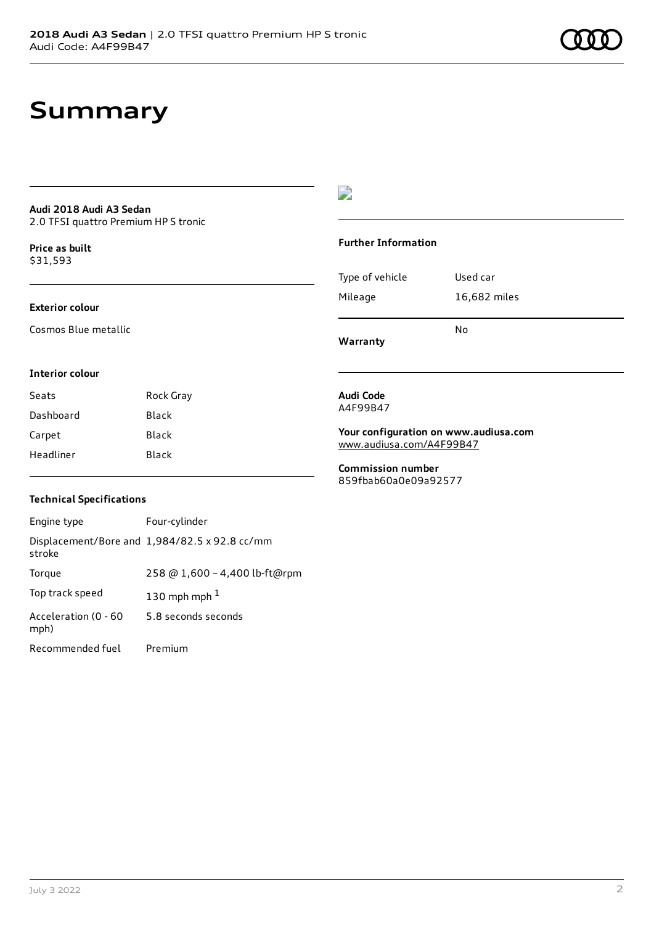### **Summary**

### **Audi 2018 Audi A3 Sedan** 2.0 TFSI quattro Premium HP S tronic

**Price as buil[t](#page-10-0)** \$31,593

### **Exterior colour**

Cosmos Blue metallic

### $\overline{\phantom{a}}$

### **Further Information**

|                 | N٥           |
|-----------------|--------------|
| Mileage         | 16,682 miles |
| Type of vehicle | Used car     |

**Warranty**

### **Interior colour**

| Seats     | Rock Gray |
|-----------|-----------|
| Dashboard | Black     |
| Carpet    | Black     |
| Headliner | Black     |

#### **Audi Code** A4F99B47

**Your configuration on www.audiusa.com**

[www.audiusa.com/A4F99B47](https://www.audiusa.com/A4F99B47)

**Commission number** 859fbab60a0e09a92577

### **Technical Specifications**

| Engine type                  | Four-cylinder                                 |
|------------------------------|-----------------------------------------------|
| stroke                       | Displacement/Bore and 1,984/82.5 x 92.8 cc/mm |
| Torque                       | 258 @ 1,600 - 4,400 lb-ft@rpm                 |
| Top track speed              | 130 mph mph $1$                               |
| Acceleration (0 - 60<br>mph) | 5.8 seconds seconds                           |
| Recommended fuel             | Premium                                       |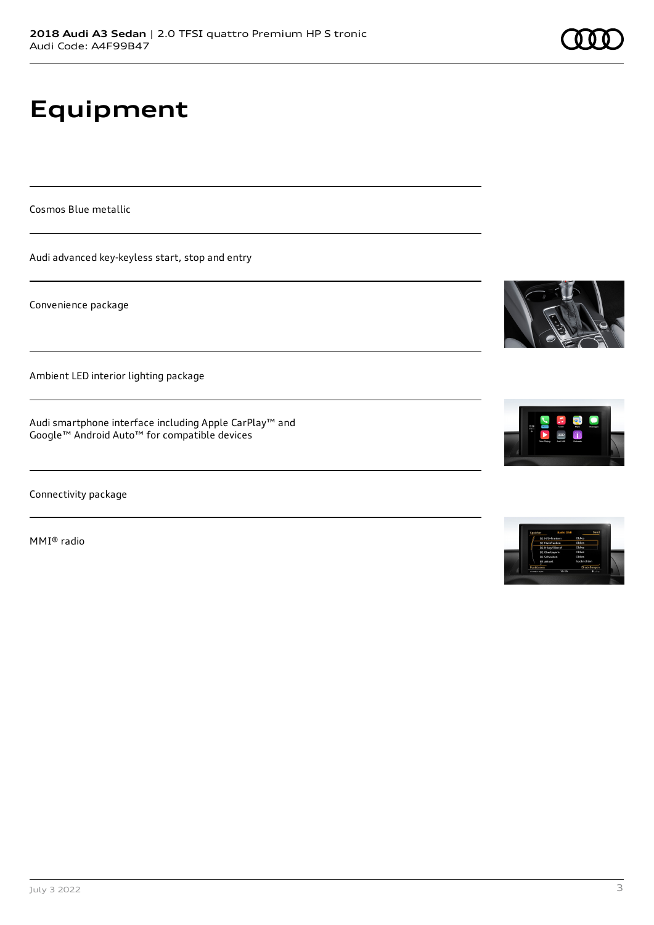# **Equipment**

Cosmos Blue metallic

Audi advanced key-keyless start, stop and entry

Convenience package

Ambient LED interior lighting package

Audi smartphone interface including Apple CarPlay™ and Google™ Android Auto™ for compatible devices

Connectivity package

MMI® radio







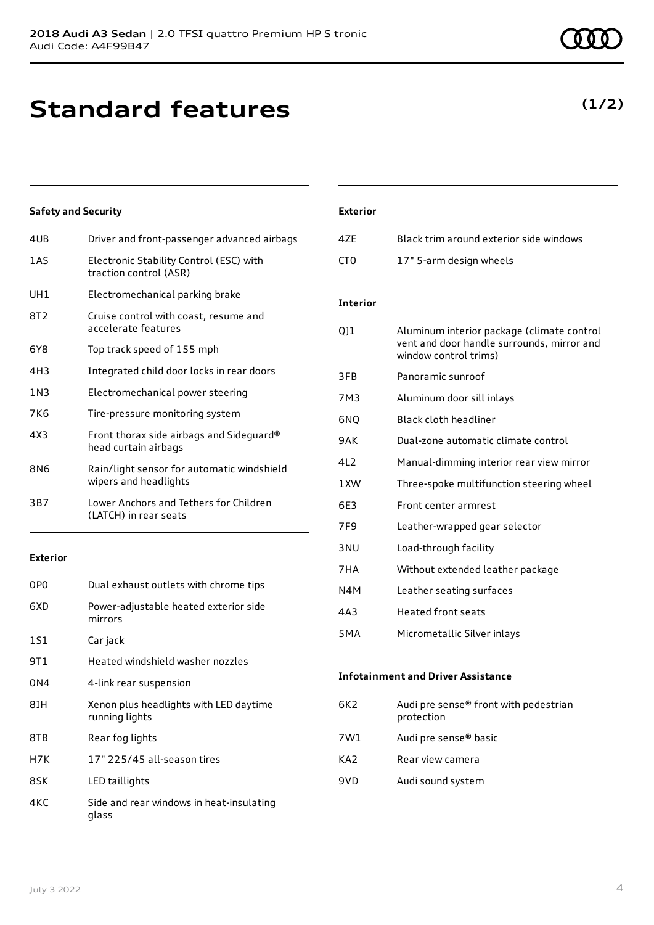# **Standard features**

### **Safety and Security**

| 4UB   | Driver and front-passenger advanced airbags                         |
|-------|---------------------------------------------------------------------|
| 1 A S | Electronic Stability Control (ESC) with<br>traction control (ASR)   |
| UH1   | Electromechanical parking brake                                     |
| 8T2   | Cruise control with coast, resume and<br>accelerate features        |
| 6Y8   | Top track speed of 155 mph                                          |
| 4H3   | Integrated child door locks in rear doors                           |
| 1N3   | Electromechanical power steering                                    |
| 7K6   | Tire-pressure monitoring system                                     |
| 4X3   | Front thorax side airbags and Sideguard®<br>head curtain airbags    |
| 8N6   | Rain/light sensor for automatic windshield<br>wipers and headlights |
| 3B7   | Lower Anchors and Tethers for Children<br>(LATCH) in rear seats     |
|       |                                                                     |

### **Exterior**

| 0P <sub>0</sub> | Dual exhaust outlets with chrome tips                    |
|-----------------|----------------------------------------------------------|
| 6XD             | Power-adjustable heated exterior side<br>mirrors         |
| 1S1             | Car jack                                                 |
| 9T 1            | Heated windshield washer nozzles                         |
| 0N4             | 4-link rear suspension                                   |
| 8IH             | Xenon plus headlights with LED daytime<br>running lights |
| 8TB             | Rear fog lights                                          |
| H7K             | 17" 225/45 all-season tires                              |
| 8SK             | LED taillights                                           |
| 4KC             | Side and rear windows in heat-insulating<br>glass        |

### **Exterior**

| 47F | Black trim around exterior side windows |
|-----|-----------------------------------------|
| CT0 | 17" 5-arm design wheels                 |

### **Interior**

| 011   | Aluminum interior package (climate control<br>vent and door handle surrounds, mirror and<br>window control trims) |
|-------|-------------------------------------------------------------------------------------------------------------------|
| 3FB   | Panoramic sunroof                                                                                                 |
| 7M3   | Aluminum door sill inlays                                                                                         |
| 6NQ   | Black cloth headliner                                                                                             |
| 9 A K | Dual-zone automatic climate control                                                                               |
| 412   | Manual-dimming interior rear view mirror                                                                          |
| 1XW   | Three-spoke multifunction steering wheel                                                                          |
| 6E3   | Front center armrest                                                                                              |
| 7F9   | Leather-wrapped gear selector                                                                                     |
| 3 NU  | Load-through facility                                                                                             |
| 7HA   | Without extended leather package                                                                                  |
| N4M   | Leather seating surfaces                                                                                          |
| 4A3   | <b>Heated front seats</b>                                                                                         |
| 5MA   | Micrometallic Silver inlays                                                                                       |
|       |                                                                                                                   |

### **Infotainment and Driver Assistance**

| 6K2 | Audi pre sense® front with pedestrian<br>protection |
|-----|-----------------------------------------------------|
| 7W1 | Audi pre sense® basic                               |
| KA2 | Rear view camera                                    |
| 9VD | Audi sound system                                   |

### **(1/2)**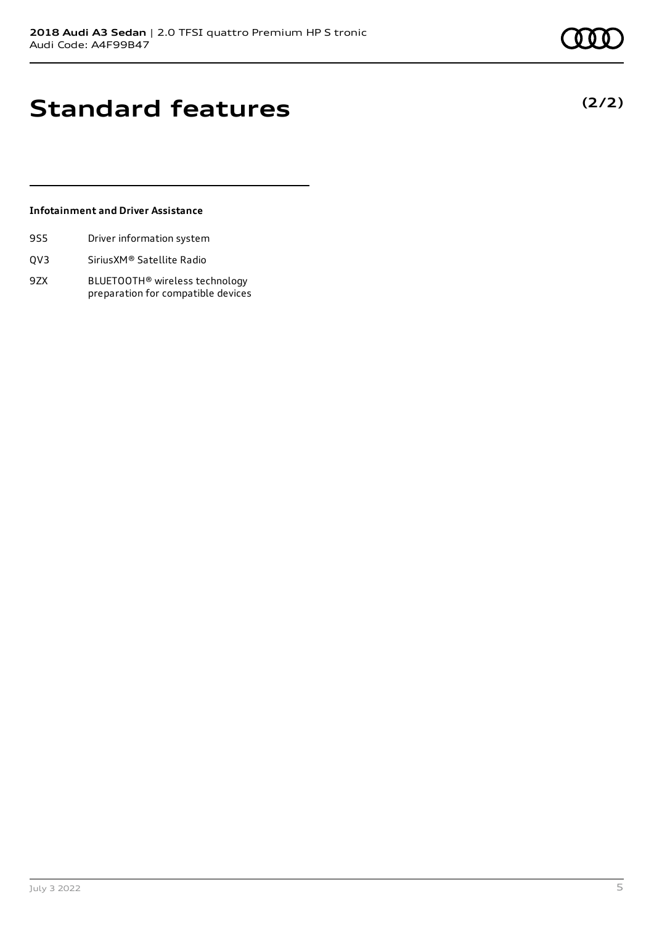**(2/2)**

# **Standard features**

### **Infotainment and Driver Assistance**

- 9S5 Driver information system
- QV3 SiriusXM® Satellite Radio
- 9ZX BLUETOOTH® wireless technology preparation for compatible devices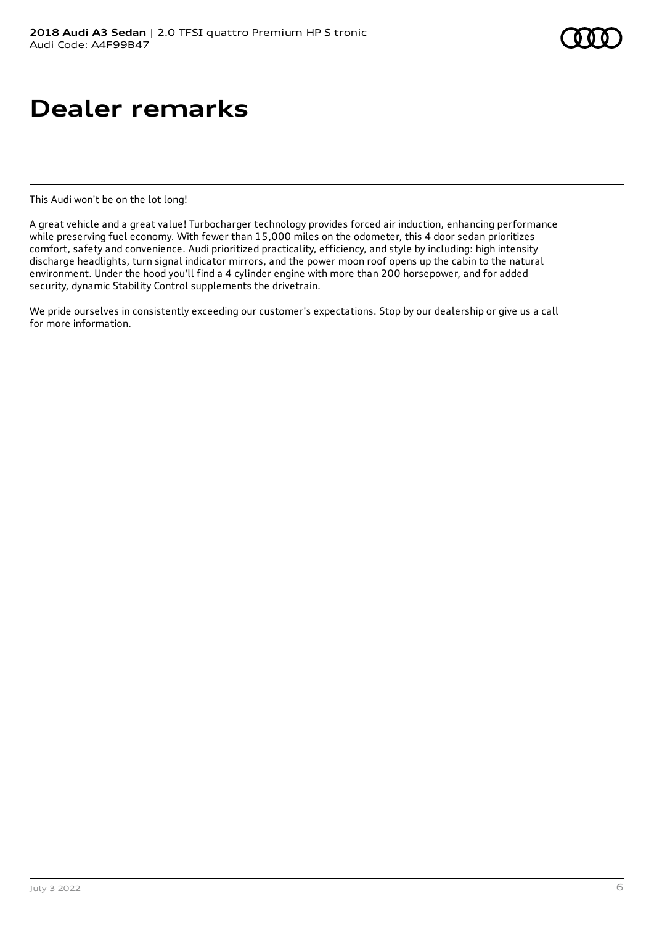# **Dealer remarks**

This Audi won't be on the lot long!

A great vehicle and a great value! Turbocharger technology provides forced air induction, enhancing performance while preserving fuel economy. With fewer than 15,000 miles on the odometer, this 4 door sedan prioritizes comfort, safety and convenience. Audi prioritized practicality, efficiency, and style by including: high intensity discharge headlights, turn signal indicator mirrors, and the power moon roof opens up the cabin to the natural environment. Under the hood you'll find a 4 cylinder engine with more than 200 horsepower, and for added security, dynamic Stability Control supplements the drivetrain.

We pride ourselves in consistently exceeding our customer's expectations. Stop by our dealership or give us a call for more information.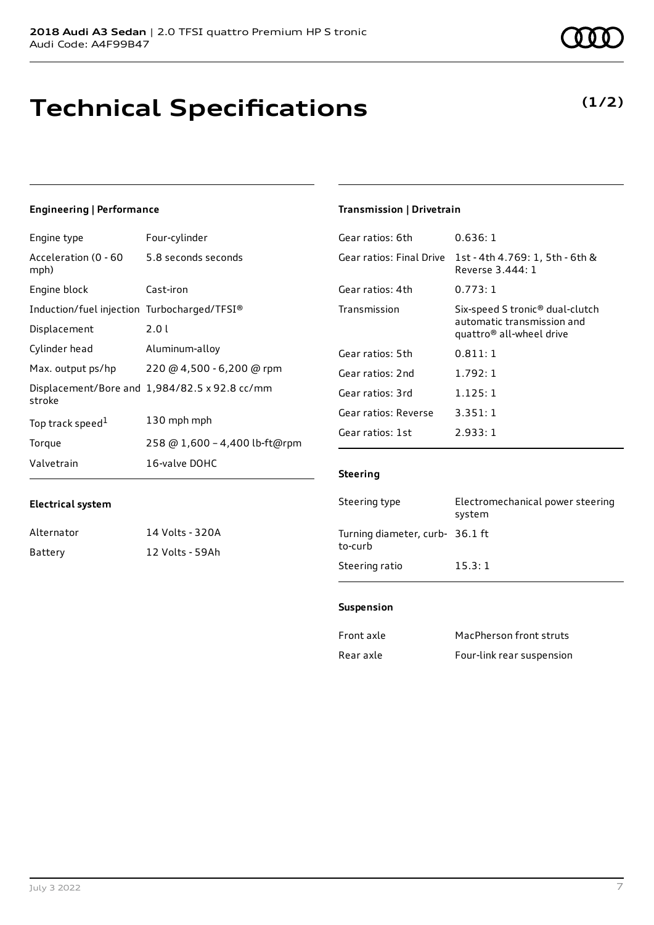# **Technical Specifications**

**(1/2)**

### **Engineering | Performance**

**Electrical system**

Alternator 14 Volts - 320A Battery 12 Volts - 59Ah

| Engine type                                 | Four-cylinder                                 |
|---------------------------------------------|-----------------------------------------------|
| Acceleration (0 - 60<br>mph)                | 5.8 seconds seconds                           |
| Engine block                                | Cast-iron                                     |
| Induction/fuel injection Turbocharged/TFSI® |                                               |
| Displacement                                | 2.01                                          |
| Cylinder head                               | Aluminum-alloy                                |
| Max. output ps/hp                           | 220 @ 4,500 - 6,200 @ rpm                     |
| stroke                                      | Displacement/Bore and 1,984/82.5 x 92.8 cc/mm |
| Top track speed <sup>1</sup>                | 130 mph mph                                   |
| Torque                                      | 258 @ 1,600 - 4,400 lb-ft@rpm                 |
| Valvetrain                                  | 16-valve DOHC                                 |

### **Transmission | Drivetrain**

| Gear ratios: 6th         | 0.636: 1                                                                                              |
|--------------------------|-------------------------------------------------------------------------------------------------------|
| Gear ratios: Final Drive | 1st - 4th 4.769: 1, 5th - 6th &<br>Reverse 3,444: 1                                                   |
| Gear ratios: 4th         | 0.773:1                                                                                               |
| Transmission             | Six-speed S tronic <sup>®</sup> dual-clutch<br>automatic transmission and<br>quattro® all-wheel drive |
| Gear ratios: 5th         | 0.811:1                                                                                               |
| Gear ratios: 2nd         | 1.792:1                                                                                               |
| Gear ratios: 3rd         | 1.125:1                                                                                               |
| Gear ratios: Reverse     | 3.351:1                                                                                               |
| Gear ratios: 1st         | 2.933:1                                                                                               |

### **Steering**

| Steering type                              | Electromechanical power steering<br>system |
|--------------------------------------------|--------------------------------------------|
| Turning diameter, curb- 36.1 ft<br>to-curb |                                            |
| Steering ratio                             | 15.3:1                                     |

#### **Suspension**

| Front axle | MacPherson front struts   |
|------------|---------------------------|
| Rear axle  | Four-link rear suspension |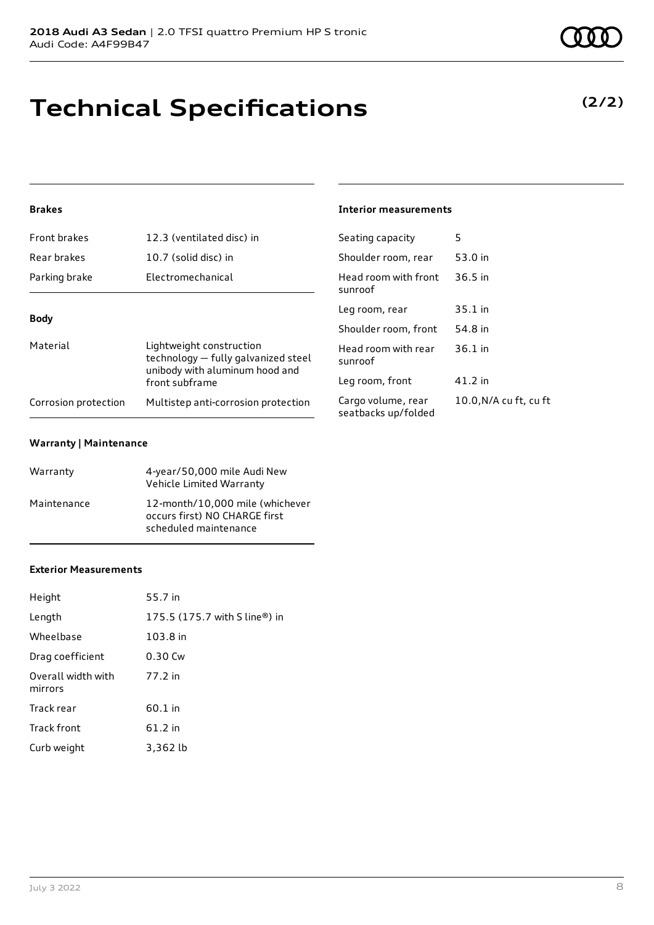# **Technical Specifications**

### **Brakes**

| Front brakes         | 12.3 (ventilated disc) in                                                                         | Seati          |
|----------------------|---------------------------------------------------------------------------------------------------|----------------|
| Rear brakes          | 10.7 (solid disc) in                                                                              | Shoul          |
| Parking brake        | Electromechanical                                                                                 | Head<br>sunro  |
| <b>Body</b>          |                                                                                                   | Leg ro         |
|                      |                                                                                                   | Shoul          |
| Material             | Lightweight construction<br>technology - fully galvanized steel<br>unibody with aluminum hood and | Head<br>sunro  |
|                      | front subframe                                                                                    | Leg ro         |
| Corrosion protection | Multistep anti-corrosion protection                                                               | Cargo<br>cooth |

### **Warranty | Maintenance**

| Warranty    | 4-year/50,000 mile Audi New<br>Vehicle Limited Warranty                                   |
|-------------|-------------------------------------------------------------------------------------------|
| Maintenance | 12-month/10,000 mile (whichever<br>occurs first) NO CHARGE first<br>scheduled maintenance |

### **Exterior Measurements**

| Height                        | 55.7 in                                                     |
|-------------------------------|-------------------------------------------------------------|
| Length                        | 175.5 $(175.7 \text{ with } S \text{ line}^{\circledR})$ in |
| Wheelbase                     | 103.8 in                                                    |
| Drag coefficient              | $0.30$ Cw                                                   |
| Overall width with<br>mirrors | 77.2 in                                                     |
| Track rear                    | $60.1$ in                                                   |
| Track front                   | 61.2 in                                                     |
| Curb weight                   | 3,362 lb                                                    |

### **Interior measurements**

| Seating capacity                          | 5                      |
|-------------------------------------------|------------------------|
| Shoulder room, rear                       | 53.0 in                |
| Head room with front<br>sunroof           | 36.5 in                |
| Leg room, rear                            | $35.1$ in              |
| Shoulder room. front                      | 54.8 in                |
| Head room with rear<br>sunroof            | $36.1$ in              |
| Leg room, front                           | 41.2 in                |
| Cargo volume, rear<br>seatbacks up/folded | 10.0, N/A cu ft, cu ft |

### **(2/2)**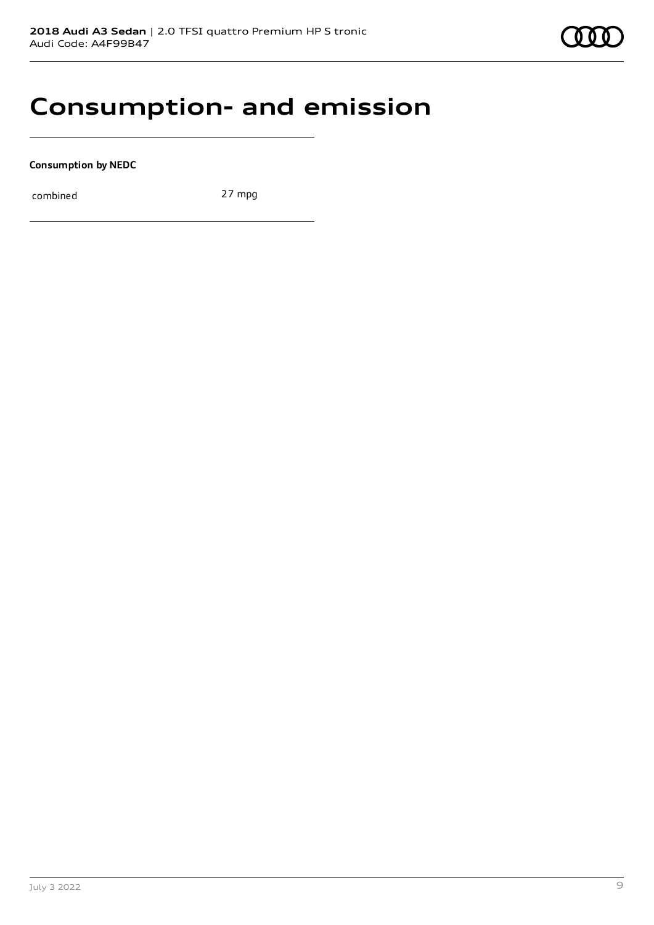

### **Consumption- and emission**

**Consumption by NEDC**

combined 27 mpg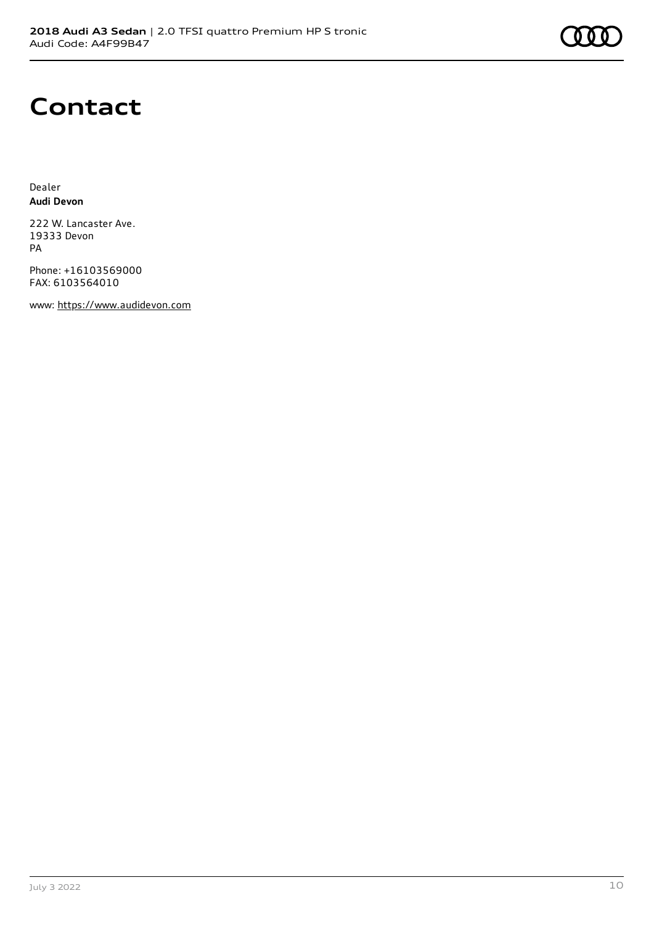

### **Contact**

Dealer **Audi Devon**

222 W. Lancaster Ave. 19333 Devon PA

Phone: +16103569000 FAX: 6103564010

www: [https://www.audidevon.com](https://www.audidevon.com/)